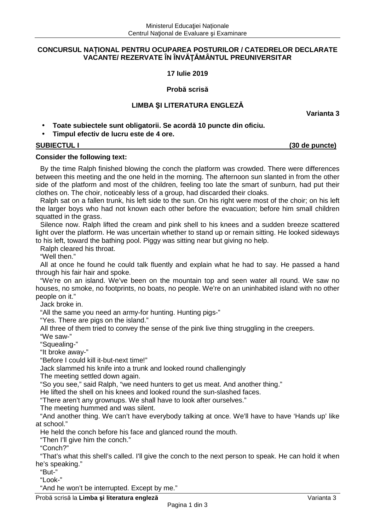## **CONCURSUL NAȚIONAL PENTRU OCUPAREA POSTURILOR / CATEDRELOR DECLARATE VACANTE/ REZERVATE ÎN ÎNVĂŢĂMÂNTUL PREUNIVERSITAR**

**17 Iulie 2019** 

**Probă scrisă** 

# **LIMBA ŞI LITERATURA ENGLEZĂ**

**Varianta 3** 

- **Toate subiectele sunt obligatorii. Se acordă 10 puncte din oficiu.**
- **Timpul efectiv de lucru este de 4 ore.**

**SUBIECTUL I (30 de puncte)** 

# **Consider the following text:**

By the time Ralph finished blowing the conch the platform was crowded. There were differences between this meeting and the one held in the morning. The afternoon sun slanted in from the other side of the platform and most of the children, feeling too late the smart of sunburn, had put their clothes on. The choir, noticeably less of a group, had discarded their cloaks.

Ralph sat on a fallen trunk, his left side to the sun. On his right were most of the choir; on his left the larger boys who had not known each other before the evacuation; before him small children squatted in the grass.

Silence now. Ralph lifted the cream and pink shell to his knees and a sudden breeze scattered light over the platform. He was uncertain whether to stand up or remain sitting. He looked sideways to his left, toward the bathing pool. Piggy was sitting near but giving no help.

Ralph cleared his throat.

"Well then."

All at once he found he could talk fluently and explain what he had to say. He passed a hand through his fair hair and spoke.

"We're on an island. We've been on the mountain top and seen water all round. We saw no houses, no smoke, no footprints, no boats, no people. We're on an uninhabited island with no other people on it."

Jack broke in.

"All the same you need an army-for hunting. Hunting pigs-"

"Yes. There are pigs on the island."

All three of them tried to convey the sense of the pink live thing struggling in the creepers.

"We saw-"

"Squealing-"

"It broke away-"

"Before I could kill it-but-next time!"

Jack slammed his knife into a trunk and looked round challengingly

The meeting settled down again.

"So you see," said Ralph, "we need hunters to get us meat. And another thing."

He lifted the shell on his knees and looked round the sun-slashed faces.

"There aren't any grownups. We shall have to look after ourselves."

The meeting hummed and was silent.

"And another thing. We can't have everybody talking at once. We'll have to have 'Hands up' like at school."

He held the conch before his face and glanced round the mouth.

"Then I'll give him the conch."

"Conch?"

"That's what this shell's called. I'll give the conch to the next person to speak. He can hold it when he's speaking."

"But-"

"Look-"

"And he won't be interrupted. Except by me."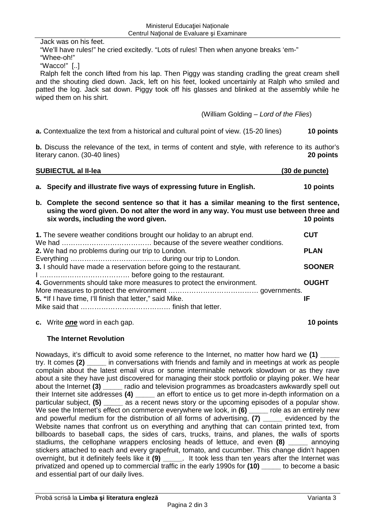Jack was on his feet. "We'll have rules!" he cried excitedly. "Lots of rules! Then when anyone breaks 'em-" "Whee-oh!"

"Wacco!" [..]

Ralph felt the conch lifted from his lap. Then Piggy was standing cradling the great cream shell and the shouting died down. Jack, left on his feet, looked uncertainly at Ralph who smiled and patted the log. Jack sat down. Piggy took off his glasses and blinked at the assembly while he wiped them on his shirt.

(William Golding – Lord of the Flies)

**a.** Contextualize the text from a historical and cultural point of view. (15-20 lines) **10 points** 

**b.** Discuss the relevance of the text, in terms of content and style, with reference to its author's literary canon. (30-40 lines) **20 points** 

| <b>SUBIECTUL al II-lea</b> | (30 de puncte) |
|----------------------------|----------------|
|                            |                |

|  | a. Specify and illustrate five ways of expressing future in English. | <b>10 points</b> |
|--|----------------------------------------------------------------------|------------------|
|--|----------------------------------------------------------------------|------------------|

**b. Complete the second sentence so that it has a similar meaning to the first sentence, using the word given. Do not alter the word in any way. You must use between three and six words, including the word given. 10 points** 

| 1. The severe weather conditions brought our holiday to an abrupt end. | <b>CUT</b>    |
|------------------------------------------------------------------------|---------------|
|                                                                        |               |
| 2. We had no problems during our trip to London.                       | <b>PLAN</b>   |
|                                                                        |               |
| 3. I should have made a reservation before going to the restaurant.    | <b>SOONER</b> |
|                                                                        |               |
| 4. Governments should take more measures to protect the environment.   | <b>OUGHT</b>  |
|                                                                        |               |
| 5. "If I have time, I'll finish that letter," said Mike.               | ΙF            |
|                                                                        |               |

### **c.** Write **one** word in each gap. **10 points**

# **The Internet Revolution**

Nowadays, it's difficult to avoid some reference to the Internet, no matter how hard we (1) try. It comes **(2) \_\_\_\_\_** in conversations with friends and family and in meetings at work as people complain about the latest email virus or some interminable network slowdown or as they rave about a site they have just discovered for managing their stock portfolio or playing poker. We hear about the Internet **(3) \_\_\_\_\_** radio and television programmes as broadcasters awkwardly spell out their Internet site addresses **(4) \_\_\_\_\_** an effort to entice us to get more in-depth information on a particular subject, **(5) \_\_\_\_\_** as a recent news story or the upcoming episodes of a popular show. We see the Internet's effect on commerce everywhere we look, in (6) \_\_\_\_\_ role as an entirely new and powerful medium for the distribution of all forms of advertising, (7) evidenced by the Website names that confront us on everything and anything that can contain printed text, from billboards to baseball caps, the sides of cars, trucks, trains, and planes, the walls of sports stadiums, the cellophane wrappers enclosing heads of lettuce, and even (8) annoying stickers attached to each and every grapefruit, tomato, and cucumber. This change didn't happen overnight, but it definitely feels like it **(9) \_\_\_\_\_**. It took less than ten years after the Internet was privatized and opened up to commercial traffic in the early 1990s for (10) to become a basic and essential part of our daily lives.